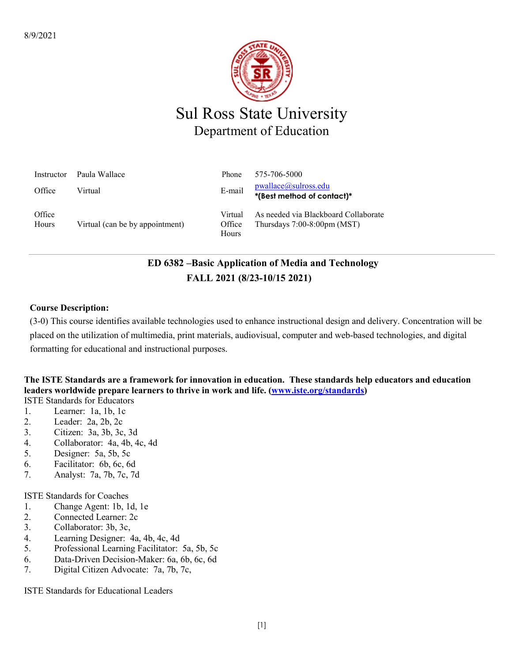

# Sul Ross State University Department of Education

| Instructor      | Paula Wallace                   | Phone                             | 575-706-5000                                                                     |
|-----------------|---------------------------------|-----------------------------------|----------------------------------------------------------------------------------|
| Office          | Virtual                         | E-mail                            | pwallace@sulross.edu<br>*(Best method of contact)*                               |
| Office<br>Hours | Virtual (can be by appointment) | Virtual<br>Office<br><b>Hours</b> | As needed via Blackboard Collaborate<br>Thursdays $7:00-8:00 \text{pm} \, (MST)$ |

# **ED 6382 –Basic Application of Media and Technology FALL 2021 (8/23-10/15 2021)**

### **Course Description:**

(3-0) This course identifies available technologies used to enhance instructional design and delivery. Concentration will be placed on the utilization of multimedia, print materials, audiovisual, computer and web-based technologies, and digital formatting for educational and instructional purposes.

#### **The ISTE Standards are a framework for innovation in education. These standards help educators and education leaders worldwide prepare learners to thrive in work and life. [\(www.iste.org/standards\)](http://www.iste.org/standards)** ISTE Standards for Educators

- 
- 1. Learner: 1a, 1b, 1c
- 2. Leader: 2a, 2b, 2c
- 3. Citizen: 3a, 3b, 3c, 3d
- 4. Collaborator: 4a, 4b, 4c, 4d
- 5. Designer: 5a, 5b, 5c
- 6. Facilitator: 6b, 6c, 6d
- 7. Analyst: 7a, 7b, 7c, 7d

ISTE Standards for Coaches

- 1. Change Agent: 1b, 1d, 1e
- 2. Connected Learner: 2c
- 3. Collaborator: 3b, 3c,
- 4. Learning Designer: 4a, 4b, 4c, 4d
- 5. Professional Learning Facilitator: 5a, 5b, 5c
- 6. Data-Driven Decision-Maker: 6a, 6b, 6c, 6d
- 7. Digital Citizen Advocate: 7a, 7b, 7c,

ISTE Standards for Educational Leaders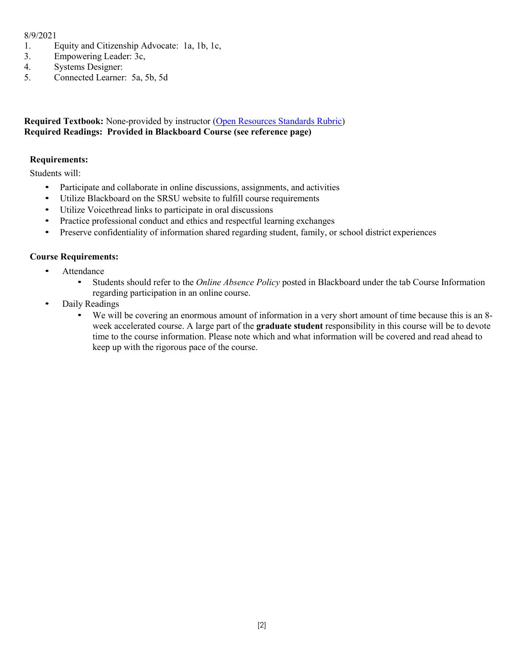### 8/9/2021

- 1. Equity and Citizenship Advocate: 1a, 1b, 1c,
- 3. Empowering Leader: 3c,
- 4. Systems Designer:
- 5. Connected Learner: 5a, 5b, 5d

### **Required Textbook:** None-provided by instructor [\(Open Resources Standards Rubric\)](https://www.achieve.org/files/AchieveOERRubrics.pdf) **Required Readings: Provided in Blackboard Course (see reference page)**

## **Requirements:**

Students will:

- Participate and collaborate in online discussions, assignments, and activities
- Utilize Blackboard on the SRSU website to fulfill course requirements
- Utilize Voicethread links to participate in oral discussions
- Practice professional conduct and ethics and respectful learning exchanges
- Preserve confidentiality of information shared regarding student, family, or school district experiences

## **Course Requirements:**

- Attendance
	- Students should refer to the *Online Absence Policy* posted in Blackboard under the tab Course Information regarding participation in an online course.
- Daily Readings
	- We will be covering an enormous amount of information in a very short amount of time because this is an 8 week accelerated course. A large part of the **graduate student** responsibility in this course will be to devote time to the course information. Please note which and what information will be covered and read ahead to keep up with the rigorous pace of the course.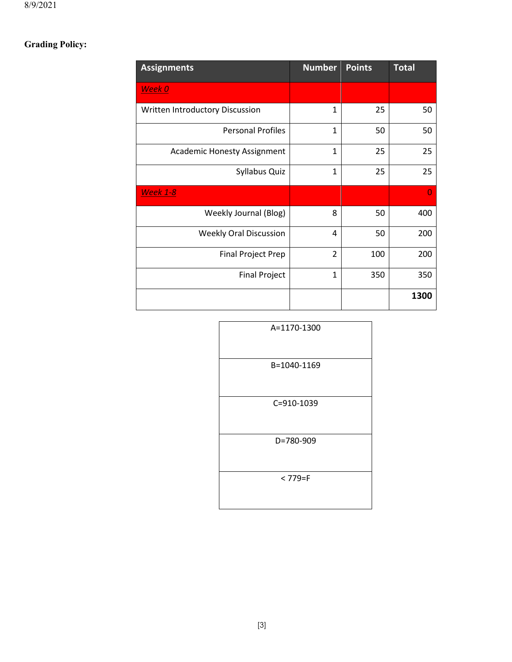# **Grading Policy:**

| <b>Assignments</b>                 | <b>Number</b>  | <b>Points</b> | <b>Total</b> |
|------------------------------------|----------------|---------------|--------------|
| Week 0                             |                |               |              |
| Written Introductory Discussion    | $\mathbf{1}$   | 25            | 50           |
| <b>Personal Profiles</b>           | $\mathbf{1}$   | 50            | 50           |
| <b>Academic Honesty Assignment</b> | 1              | 25            | 25           |
| Syllabus Quiz                      | 1              | 25            | 25           |
| <b>Week 1-8</b>                    |                |               | 0            |
| Weekly Journal (Blog)              | 8              | 50            | 400          |
| <b>Weekly Oral Discussion</b>      | 4              | 50            | 200          |
| <b>Final Project Prep</b>          | $\overline{2}$ | 100           | 200          |
| <b>Final Project</b>               | $\mathbf{1}$   | 350           | 350          |
|                                    |                |               | 1300         |

| A=1170-1300 |
|-------------|
| B=1040-1169 |
| C=910-1039  |
| D=780-909   |
| $< 779 = F$ |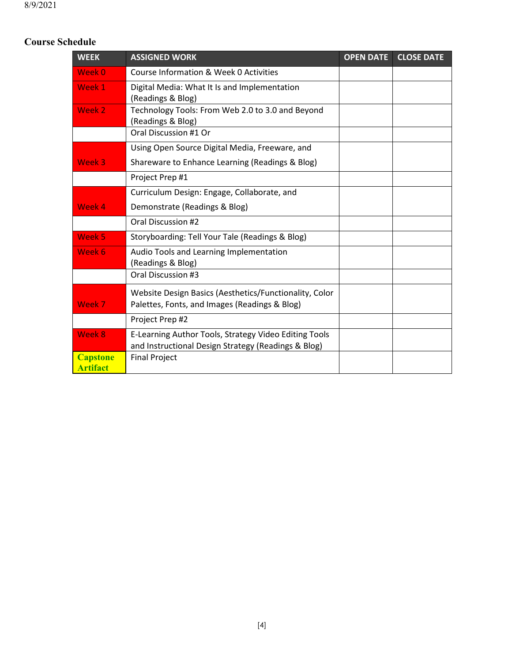# **Course Schedule**

| <b>WEEK</b>                        | <b>ASSIGNED WORK</b>                                                                                         | <b>OPEN DATE</b> | <b>CLOSE DATE</b> |
|------------------------------------|--------------------------------------------------------------------------------------------------------------|------------------|-------------------|
| Week 0                             | Course Information & Week 0 Activities                                                                       |                  |                   |
| Week 1                             | Digital Media: What It Is and Implementation<br>(Readings & Blog)                                            |                  |                   |
| Week 2                             | Technology Tools: From Web 2.0 to 3.0 and Beyond<br>(Readings & Blog)                                        |                  |                   |
|                                    | Oral Discussion #1 Or                                                                                        |                  |                   |
|                                    | Using Open Source Digital Media, Freeware, and                                                               |                  |                   |
| Week 3                             | Shareware to Enhance Learning (Readings & Blog)                                                              |                  |                   |
|                                    | Project Prep #1                                                                                              |                  |                   |
|                                    | Curriculum Design: Engage, Collaborate, and                                                                  |                  |                   |
| Week 4                             | Demonstrate (Readings & Blog)                                                                                |                  |                   |
|                                    | Oral Discussion #2                                                                                           |                  |                   |
| Week 5                             | Storyboarding: Tell Your Tale (Readings & Blog)                                                              |                  |                   |
| Week 6                             | Audio Tools and Learning Implementation<br>(Readings & Blog)                                                 |                  |                   |
|                                    | Oral Discussion #3                                                                                           |                  |                   |
| Week 7                             | Website Design Basics (Aesthetics/Functionality, Color<br>Palettes, Fonts, and Images (Readings & Blog)      |                  |                   |
|                                    | Project Prep #2                                                                                              |                  |                   |
| Week 8                             | E-Learning Author Tools, Strategy Video Editing Tools<br>and Instructional Design Strategy (Readings & Blog) |                  |                   |
| <b>Capstone</b><br><b>Artifact</b> | <b>Final Project</b>                                                                                         |                  |                   |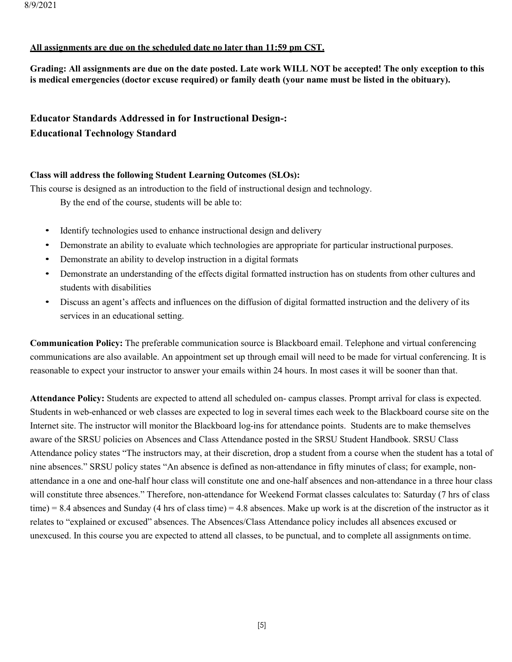### **All assignments are due on the scheduled date no later than 11:59 pm CST.**

**Grading: All assignments are due on the date posted. Late work WILL NOT be accepted! The only exception to this is medical emergencies (doctor excuse required) or family death (your name must be listed in the obituary).**

# **Educator Standards Addressed in for Instructional Design-: Educational Technology Standard**

### **Class will address the following Student Learning Outcomes (SLOs):**

This course is designed as an introduction to the field of instructional design and technology.

By the end of the course, students will be able to:

- Identify technologies used to enhance instructional design and delivery
- Demonstrate an ability to evaluate which technologies are appropriate for particular instructional purposes.
- Demonstrate an ability to develop instruction in a digital formats
- Demonstrate an understanding of the effects digital formatted instruction has on students from other cultures and students with disabilities
- Discuss an agent's affects and influences on the diffusion of digital formatted instruction and the delivery of its services in an educational setting.

**Communication Policy:** The preferable communication source is Blackboard email. Telephone and virtual conferencing communications are also available. An appointment set up through email will need to be made for virtual conferencing. It is reasonable to expect your instructor to answer your emails within 24 hours. In most cases it will be sooner than that.

**Attendance Policy:** Students are expected to attend all scheduled on- campus classes. Prompt arrival for class is expected. Students in web-enhanced or web classes are expected to log in several times each week to the Blackboard course site on the Internet site. The instructor will monitor the Blackboard log-ins for attendance points. Students are to make themselves aware of the SRSU policies on Absences and Class Attendance posted in the SRSU Student Handbook. SRSU Class Attendance policy states "The instructors may, at their discretion, drop a student from a course when the student has a total of nine absences." SRSU policy states "An absence is defined as non-attendance in fifty minutes of class; for example, nonattendance in a one and one-half hour class will constitute one and one-half absences and non-attendance in a three hour class will constitute three absences." Therefore, non-attendance for Weekend Format classes calculates to: Saturday (7 hrs of class time)  $= 8.4$  absences and Sunday (4 hrs of class time)  $= 4.8$  absences. Make up work is at the discretion of the instructor as it relates to "explained or excused" absences. The Absences/Class Attendance policy includes all absences excused or unexcused. In this course you are expected to attend all classes, to be punctual, and to complete all assignments ontime.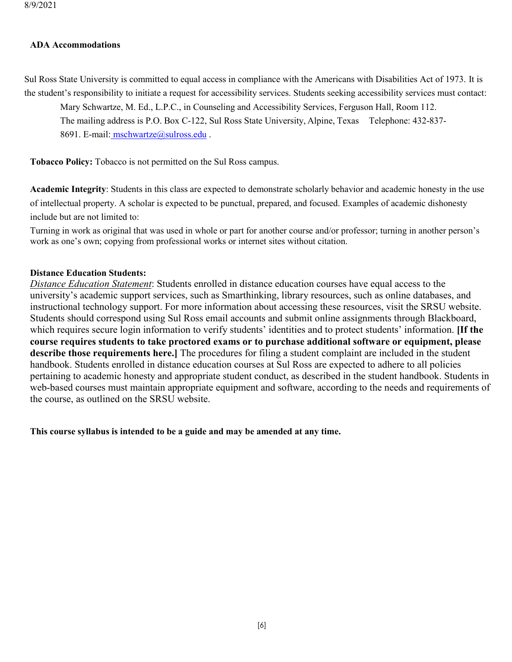#### **ADA Accommodations**

Sul Ross State University is committed to equal access in compliance with the Americans with Disabilities Act of 1973. It is the student's responsibility to initiate a request for accessibility services. Students seeking accessibility services must contact:

Mary Schwartze, M. Ed., L.P.C., in Counseling and Accessibility Services, Ferguson Hall, Room 112.

The mailing address is P.O. Box C-122, Sul Ross State University, Alpine, Texas Telephone: 432-837-

8691. E-mail: [mschwartze@sulross.edu](mailto:%20%20mschwartze@sulross.edu) .

**Tobacco Policy:** Tobacco is not permitted on the Sul Ross campus.

**Academic Integrity**: Students in this class are expected to demonstrate scholarly behavior and academic honesty in the use of intellectual property. A scholar is expected to be punctual, prepared, and focused. Examples of academic dishonesty include but are not limited to:

Turning in work as original that was used in whole or part for another course and/or professor; turning in another person's work as one's own; copying from professional works or internet sites without citation.

### **Distance Education Students:**

*Distance Education Statement*: Students enrolled in distance education courses have equal access to the university's academic support services, such as Smarthinking, library resources, such as online databases, and instructional technology support. For more information about accessing these resources, visit the SRSU website. Students should correspond using Sul Ross email accounts and submit online assignments through Blackboard, which requires secure login information to verify students' identities and to protect students' information. **[If the course requires students to take proctored exams or to purchase additional software or equipment, please describe those requirements here.]** The procedures for filing a student complaint are included in the student handbook. Students enrolled in distance education courses at Sul Ross are expected to adhere to all policies pertaining to academic honesty and appropriate student conduct, as described in the student handbook. Students in web-based courses must maintain appropriate equipment and software, according to the needs and requirements of the course, as outlined on the SRSU website.

**This course syllabus is intended to be a guide and may be amended at any time.**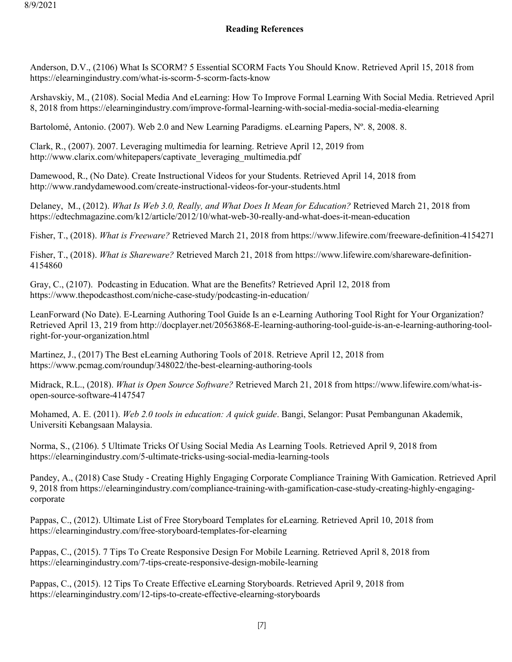### **Reading References**

Anderson, D.V., (2106) What Is SCORM? 5 Essential SCORM Facts You Should Know. Retrieved April 15, 2018 from https://elearningindustry.com/what-is-scorm-5-scorm-facts-know

Arshavskiy, M., (2108). Social Media And eLearning: How To Improve Formal Learning With Social Media. Retrieved April 8, 2018 from https://elearningindustry.com/improve-formal-learning-with-social-media-social-media-elearning

Bartolomé, Antonio. (2007). Web 2.0 and New Learning Paradigms. eLearning Papers, N° 8, 2008. 8.

Clark, R., (2007). 2007. Leveraging multimedia for learning. Retrieve April 12, 2019 from http://www.clarix.com/whitepapers/captivate\_leveraging\_multimedia.pdf

Damewood, R., (No Date). Create Instructional Videos for your Students. Retrieved April 14, 2018 from http://www.randydamewood.com/create-instructional-videos-for-your-students.html

Delaney, M., (2012). *What Is Web 3.0, Really, and What Does It Mean for Education?* Retrieved March 21, 2018 from https://edtechmagazine.com/k12/article/2012/10/what-web-30-really-and-what-does-it-mean-education

Fisher, T., (2018). *What is Freeware?* Retrieved March 21, 2018 from https://www.lifewire.com/freeware-definition-4154271

Fisher, T., (2018). *What is Shareware?* Retrieved March 21, 2018 from https://www.lifewire.com/shareware-definition-4154860

Gray, C., (2107). Podcasting in Education. What are the Benefits? Retrieved April 12, 2018 from https://www.thepodcasthost.com/niche-case-study/podcasting-in-education/

LeanForward (No Date). E-Learning Authoring Tool Guide Is an e-Learning Authoring Tool Right for Your Organization? Retrieved April 13, 219 from http://docplayer.net/20563868-E-learning-authoring-tool-guide-is-an-e-learning-authoring-toolright-for-your-organization.html

Martinez, J., (2017) The Best eLearning Authoring Tools of 2018. Retrieve April 12, 2018 from https://www.pcmag.com/roundup/348022/the-best-elearning-authoring-tools

Midrack, R.L., (2018). *What is Open Source Software?* Retrieved March 21, 2018 from https://www.lifewire.com/what-isopen-source-software-4147547

Mohamed, A. E. (2011). *Web 2.0 tools in education: A quick guide*. Bangi, Selangor: Pusat Pembangunan Akademik, Universiti Kebangsaan Malaysia.

Norma, S., (2106). 5 Ultimate Tricks Of Using Social Media As Learning Tools. Retrieved April 9, 2018 from https://elearningindustry.com/5-ultimate-tricks-using-social-media-learning-tools

Pandey, A., (2018) Case Study - Creating Highly Engaging Corporate Compliance Training With Gamication. Retrieved April 9, 2018 from https://elearningindustry.com/compliance-training-with-gamification-case-study-creating-highly-engagingcorporate

Pappas, C., (2012). Ultimate List of Free Storyboard Templates for eLearning. Retrieved April 10, 2018 from https://elearningindustry.com/free-storyboard-templates-for-elearning

Pappas, C., (2015). 7 Tips To Create Responsive Design For Mobile Learning. Retrieved April 8, 2018 from https://elearningindustry.com/7-tips-create-responsive-design-mobile-learning

Pappas, C., (2015). 12 Tips To Create Effective eLearning Storyboards. Retrieved April 9, 2018 from https://elearningindustry.com/12-tips-to-create-effective-elearning-storyboards